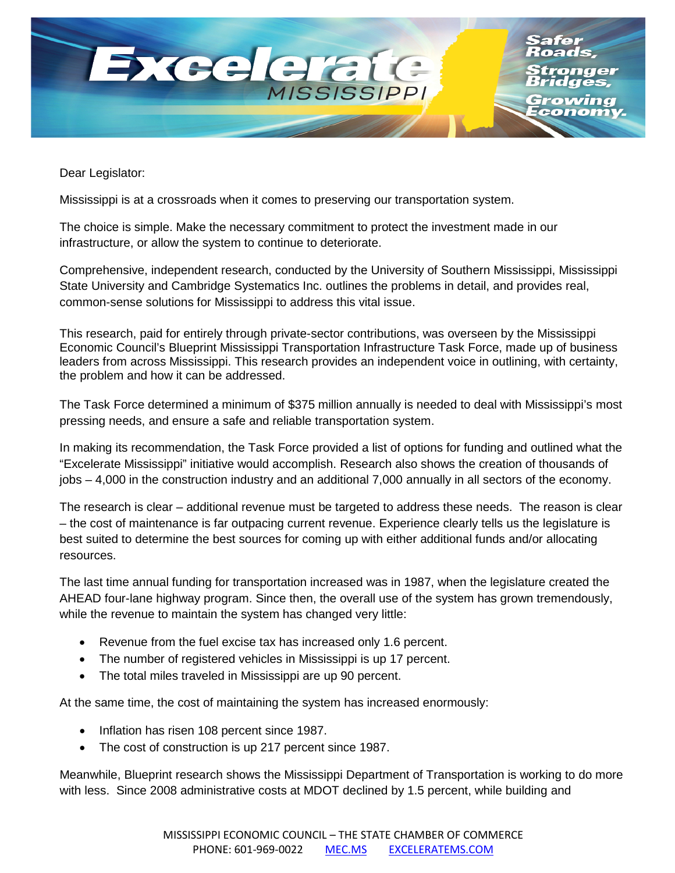

Dear Legislator:

Mississippi is at a crossroads when it comes to preserving our transportation system.

The choice is simple. Make the necessary commitment to protect the investment made in our infrastructure, or allow the system to continue to deteriorate.

Comprehensive, independent research, conducted by the University of Southern Mississippi, Mississippi State University and Cambridge Systematics Inc. outlines the problems in detail, and provides real, common-sense solutions for Mississippi to address this vital issue.

This research, paid for entirely through private-sector contributions, was overseen by the Mississippi Economic Council's Blueprint Mississippi Transportation Infrastructure Task Force, made up of business leaders from across Mississippi. This research provides an independent voice in outlining, with certainty, the problem and how it can be addressed.

The Task Force determined a minimum of \$375 million annually is needed to deal with Mississippi's most pressing needs, and ensure a safe and reliable transportation system.

In making its recommendation, the Task Force provided a list of options for funding and outlined what the "Excelerate Mississippi" initiative would accomplish. Research also shows the creation of thousands of jobs – 4,000 in the construction industry and an additional 7,000 annually in all sectors of the economy.

The research is clear – additional revenue must be targeted to address these needs. The reason is clear – the cost of maintenance is far outpacing current revenue. Experience clearly tells us the legislature is best suited to determine the best sources for coming up with either additional funds and/or allocating resources.

The last time annual funding for transportation increased was in 1987, when the legislature created the AHEAD four-lane highway program. Since then, the overall use of the system has grown tremendously, while the revenue to maintain the system has changed very little:

- Revenue from the fuel excise tax has increased only 1.6 percent.
- The number of registered vehicles in Mississippi is up 17 percent.
- The total miles traveled in Mississippi are up 90 percent.

At the same time, the cost of maintaining the system has increased enormously:

- Inflation has risen 108 percent since 1987.
- The cost of construction is up 217 percent since 1987.

Meanwhile, Blueprint research shows the Mississippi Department of Transportation is working to do more with less. Since 2008 administrative costs at MDOT declined by 1.5 percent, while building and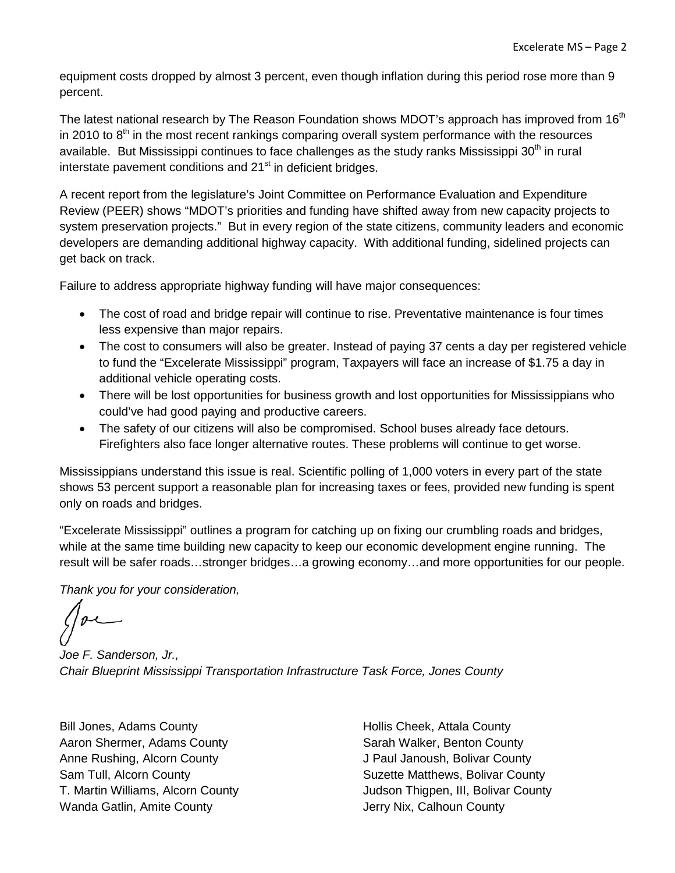equipment costs dropped by almost 3 percent, even though inflation during this period rose more than 9 percent.

The latest national research by The Reason Foundation shows MDOT's approach has improved from 16<sup>th</sup> in 2010 to  $8<sup>th</sup>$  in the most recent rankings comparing overall system performance with the resources available. But Mississippi continues to face challenges as the study ranks Mississippi  $30<sup>th</sup>$  in rural interstate pavement conditions and  $21<sup>st</sup>$  in deficient bridges.

A recent report from the legislature's Joint Committee on Performance Evaluation and Expenditure Review (PEER) shows "MDOT's priorities and funding have shifted away from new capacity projects to system preservation projects." But in every region of the state citizens, community leaders and economic developers are demanding additional highway capacity. With additional funding, sidelined projects can get back on track.

Failure to address appropriate highway funding will have major consequences:

- The cost of road and bridge repair will continue to rise. Preventative maintenance is four times less expensive than major repairs.
- The cost to consumers will also be greater. Instead of paying 37 cents a day per registered vehicle to fund the "Excelerate Mississippi" program, Taxpayers will face an increase of \$1.75 a day in additional vehicle operating costs.
- There will be lost opportunities for business growth and lost opportunities for Mississippians who could've had good paying and productive careers.
- The safety of our citizens will also be compromised. School buses already face detours. Firefighters also face longer alternative routes. These problems will continue to get worse.

Mississippians understand this issue is real. Scientific polling of 1,000 voters in every part of the state shows 53 percent support a reasonable plan for increasing taxes or fees, provided new funding is spent only on roads and bridges.

"Excelerate Mississippi" outlines a program for catching up on fixing our crumbling roads and bridges, while at the same time building new capacity to keep our economic development engine running. The result will be safer roads…stronger bridges…a growing economy…and more opportunities for our people.

*Thank you for your consideration,*

*Joe F. Sanderson, Jr., Chair Blueprint Mississippi Transportation Infrastructure Task Force, Jones County*

Bill Jones, Adams County Aaron Shermer, Adams County Anne Rushing, Alcorn County Sam Tull, Alcorn County T. Martin Williams, Alcorn County Wanda Gatlin, Amite County

Hollis Cheek, Attala County Sarah Walker, Benton County J Paul Janoush, Bolivar County Suzette Matthews, Bolivar County Judson Thigpen, III, Bolivar County Jerry Nix, Calhoun County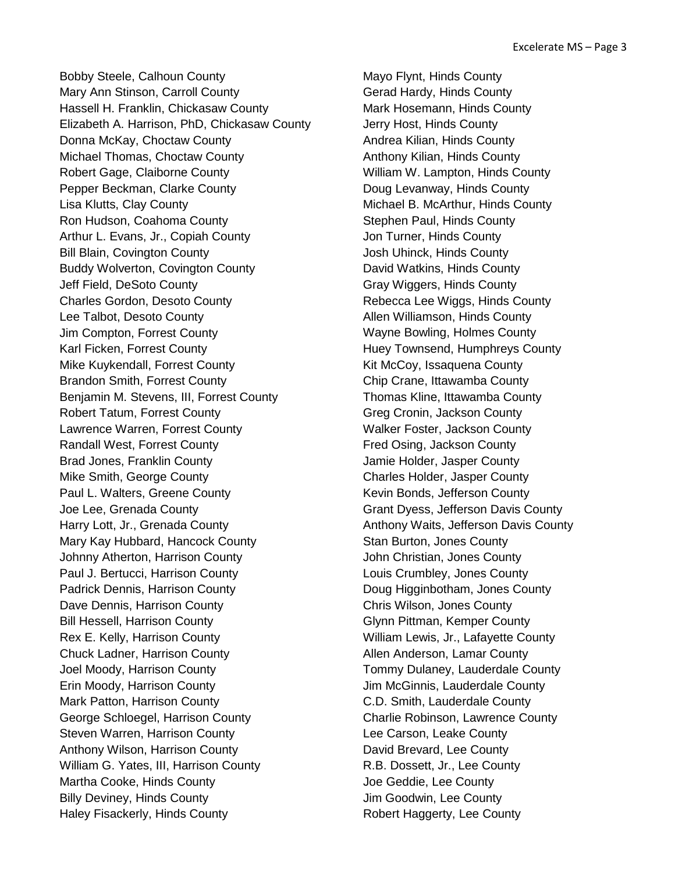Bobby Steele, Calhoun County Mary Ann Stinson, Carroll County Hassell H. Franklin, Chickasaw County Elizabeth A. Harrison, PhD, Chickasaw County Donna McKay, Choctaw County Michael Thomas, Choctaw County Robert Gage, Claiborne County Pepper Beckman, Clarke County Lisa Klutts, Clay County Ron Hudson, Coahoma County Arthur L. Evans, Jr., Copiah County Bill Blain, Covington County Buddy Wolverton, Covington County Jeff Field, DeSoto County Charles Gordon, Desoto County Lee Talbot, Desoto County Jim Compton, Forrest County Karl Ficken, Forrest County Mike Kuykendall, Forrest County Brandon Smith, Forrest County Benjamin M. Stevens, III, Forrest County Robert Tatum, Forrest County Lawrence Warren, Forrest County Randall West, Forrest County Brad Jones, Franklin County Mike Smith, George County Paul L. Walters, Greene County Joe Lee, Grenada County Harry Lott, Jr., Grenada County Mary Kay Hubbard, Hancock County Johnny Atherton, Harrison County Paul J. Bertucci, Harrison County Padrick Dennis, Harrison County Dave Dennis, Harrison County Bill Hessell, Harrison County Rex E. Kelly, Harrison County Chuck Ladner, Harrison County Joel Moody, Harrison County Erin Moody, Harrison County Mark Patton, Harrison County George Schloegel, Harrison County Steven Warren, Harrison County Anthony Wilson, Harrison County William G. Yates, III, Harrison County Martha Cooke, Hinds County Billy Deviney, Hinds County Haley Fisackerly, Hinds County

Mayo Flynt, Hinds County Gerad Hardy, Hinds County Mark Hosemann, Hinds County Jerry Host, Hinds County Andrea Kilian, Hinds County Anthony Kilian, Hinds County William W. Lampton, Hinds County Doug Levanway, Hinds County Michael B. McArthur, Hinds County Stephen Paul, Hinds County Jon Turner, Hinds County Josh Uhinck, Hinds County David Watkins, Hinds County Gray Wiggers, Hinds County Rebecca Lee Wiggs, Hinds County Allen Williamson, Hinds County Wayne Bowling, Holmes County Huey Townsend, Humphreys County Kit McCoy, Issaquena County Chip Crane, Ittawamba County Thomas Kline, Ittawamba County Greg Cronin, Jackson County Walker Foster, Jackson County Fred Osing, Jackson County Jamie Holder, Jasper County Charles Holder, Jasper County Kevin Bonds, Jefferson County Grant Dyess, Jefferson Davis County Anthony Waits, Jefferson Davis County Stan Burton, Jones County John Christian, Jones County Louis Crumbley, Jones County Doug Higginbotham, Jones County Chris Wilson, Jones County Glynn Pittman, Kemper County William Lewis, Jr., Lafayette County Allen Anderson, Lamar County Tommy Dulaney, Lauderdale County Jim McGinnis, Lauderdale County C.D. Smith, Lauderdale County Charlie Robinson, Lawrence County Lee Carson, Leake County David Brevard, Lee County R.B. Dossett, Jr., Lee County Joe Geddie, Lee County Jim Goodwin, Lee County Robert Haggerty, Lee County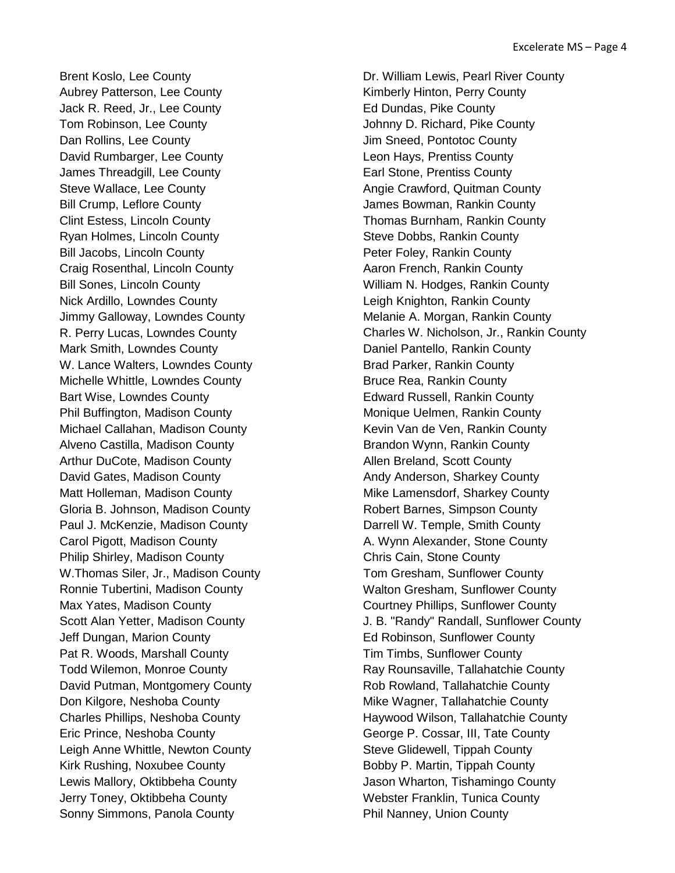Brent Koslo, Lee County Aubrey Patterson, Lee County Jack R. Reed, Jr., Lee County Tom Robinson, Lee County Dan Rollins, Lee County David Rumbarger, Lee County James Threadgill, Lee County Steve Wallace, Lee County Bill Crump, Leflore County Clint Estess, Lincoln County Ryan Holmes, Lincoln County Bill Jacobs, Lincoln County Craig Rosenthal, Lincoln County Bill Sones, Lincoln County Nick Ardillo, Lowndes County Jimmy Galloway, Lowndes County R. Perry Lucas, Lowndes County Mark Smith, Lowndes County W. Lance Walters, Lowndes County Michelle Whittle, Lowndes County Bart Wise, Lowndes County Phil Buffington, Madison County Michael Callahan, Madison County Alveno Castilla, Madison County Arthur DuCote, Madison County David Gates, Madison County Matt Holleman, Madison County Gloria B. Johnson, Madison County Paul J. McKenzie, Madison County Carol Pigott, Madison County Philip Shirley, Madison County W.Thomas Siler, Jr., Madison County Ronnie Tubertini, Madison County Max Yates, Madison County Scott Alan Yetter, Madison County Jeff Dungan, Marion County Pat R. Woods, Marshall County Todd Wilemon, Monroe County David Putman, Montgomery County Don Kilgore, Neshoba County Charles Phillips, Neshoba County Eric Prince, Neshoba County Leigh Anne Whittle, Newton County Kirk Rushing, Noxubee County Lewis Mallory, Oktibbeha County Jerry Toney, Oktibbeha County Sonny Simmons, Panola County

Dr. William Lewis, Pearl River County Kimberly Hinton, Perry County Ed Dundas, Pike County Johnny D. Richard, Pike County Jim Sneed, Pontotoc County Leon Hays, Prentiss County Earl Stone, Prentiss County Angie Crawford, Quitman County James Bowman, Rankin County Thomas Burnham, Rankin County Steve Dobbs, Rankin County Peter Foley, Rankin County Aaron French, Rankin County William N. Hodges, Rankin County Leigh Knighton, Rankin County Melanie A. Morgan, Rankin County Charles W. Nicholson, Jr., Rankin County Daniel Pantello, Rankin County Brad Parker, Rankin County Bruce Rea, Rankin County Edward Russell, Rankin County Monique Uelmen, Rankin County Kevin Van de Ven, Rankin County Brandon Wynn, Rankin County Allen Breland, Scott County Andy Anderson, Sharkey County Mike Lamensdorf, Sharkey County Robert Barnes, Simpson County Darrell W. Temple, Smith County A. Wynn Alexander, Stone County Chris Cain, Stone County Tom Gresham, Sunflower County Walton Gresham, Sunflower County Courtney Phillips, Sunflower County J. B. "Randy" Randall, Sunflower County Ed Robinson, Sunflower County Tim Timbs, Sunflower County Ray Rounsaville, Tallahatchie County Rob Rowland, Tallahatchie County Mike Wagner, Tallahatchie County Haywood Wilson, Tallahatchie County George P. Cossar, III, Tate County Steve Glidewell, Tippah County Bobby P. Martin, Tippah County Jason Wharton, Tishamingo County Webster Franklin, Tunica County Phil Nanney, Union County